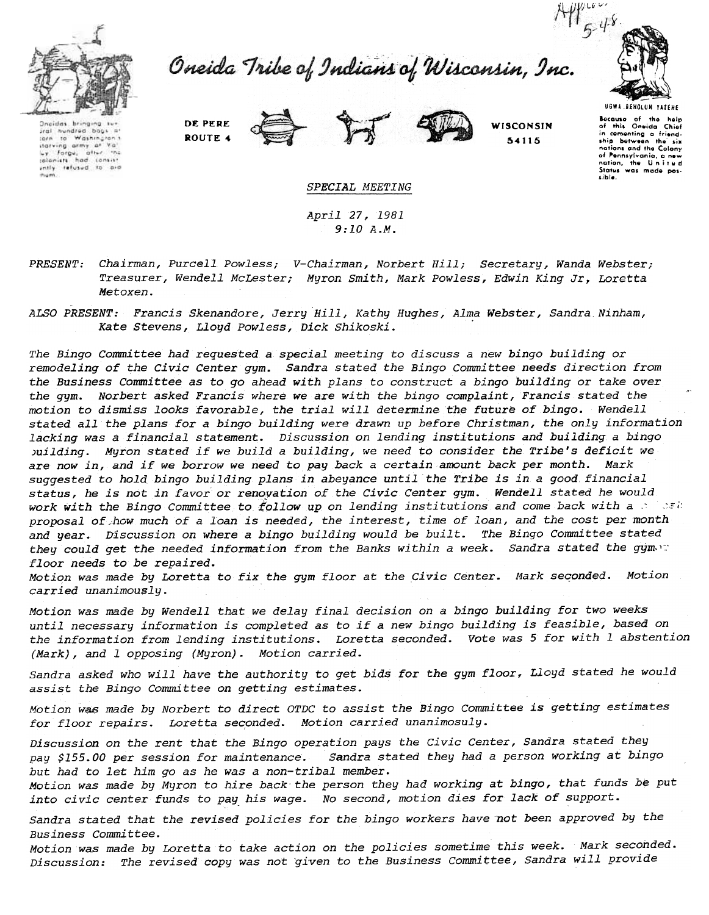

Oneida Tribe of Indians of Wisconsin, Inc.



Oncidas bringing sur aral hundred book =\* to Washington's  $10.001$ itarving army at Ya'<br>Ly Forgu, attir inc luy Forgu, after the<br>colonists had consist<br>untly refused to aid mars.

DE PEDE ROUTE 4



WISCONSIN 54115

Because of the help<br>of this Oneida Chief in comenting a friendship between the six nunons and the Colony<br>of Pennsylvania, a new<br>nation, the United<br>States was mode possible.

SPECIAL MEETING

April 27, 1981  $9:10A.M.$ 

- PRESENT: Chairman, Purcell Powless; V-Chairman, Norbert Hill; Secretary, Wanda Webster; Treasurer, Wendell McLester; Myron Smith, Mark Powless, Edwin King Jr, Loretta Metoxen.
- ALSO PRESENT: Francis Skenandore, Jerry Hill, Kathy Hughes, Alma Webster, Sandra Ninham, Kate Stevens, Lloyd Powless, Dick Shikoski.

The Bingo Committee had requested a special meeting to discuss a new bingo building or remodeling of the Civic Center gym. Sandra stated the Bingo Committee needs direction from the Business Committee as to go ahead with plans to construct a bingo building or take over the gym. Norbert asked Francis where we are with the bingo complaint, Francis stated the motion to dismiss looks favorable, the trial will determine the future of bingo. Wendell stated all the plans for a bingo building were drawn up before Christman, the only information lacking was a financial statement. Discussion on lending institutions and building a bingo building. Muron stated if we build a building, we need to consider the Tribe's deficit we are now in, and if we borrow we need to pay back a certain amount back per month. Mark suggested to hold bingo building plans in abeyance until the Tribe is in a good financial status, he is not in favor or renovation of the Civic Center gym. Wendell stated he would work with the Bingo Committee to follow up on lending institutions and come back with a milest proposal of how much of a loan is needed, the interest, time of loan, and the cost per month and year. Discussion on where a bingo building would be built. The Bingo Committee stated they could get the needed information from the Banks within a week. Sandra stated the gym. floor needs to be repaired.

Motion was made by Loretta to fix the gym floor at the Civic Center. Mark seconded. Motion carried unanimously.

Motion was made by Wendell that we delay final decision on a bingo building for two weeks until necessary information is completed as to if a new bingo building is feasible, based on the information from lending institutions. Loretta seconded. Vote was 5 for with 1 abstention (Mark), and l opposing (Myron). Motion carried.

Sandra asked who will have the authority to get bids for the gym floor, Lloyd stated he would assist the Bingo Committee on getting estimates.

Motion was made by Norbert to direct OTDC to assist the Bingo Committee is getting estimates for floor repairs. Loretta seconded. Motion carried unanimosuly.

Discussion on the rent that the Bingo operation pays the Civic Center, Sandra stated they Sandra stated they had a person working at bingo pay \$155.00 per session for maintenance. but had to let him go as he was a non-tribal member.

Motion was made by Myron to hire back the person they had working at bingo, that funds be put into civic center funds to pay his wage. No second, motion dies for lack of support.

Sandra stated that the revised policies for the bingo workers have not been approved by the Business Committee.

Motion was made by Loretta to take action on the policies sometime this week. Mark seconded. Discussion: The revised copy was not given to the Business Committee, Sandra will provide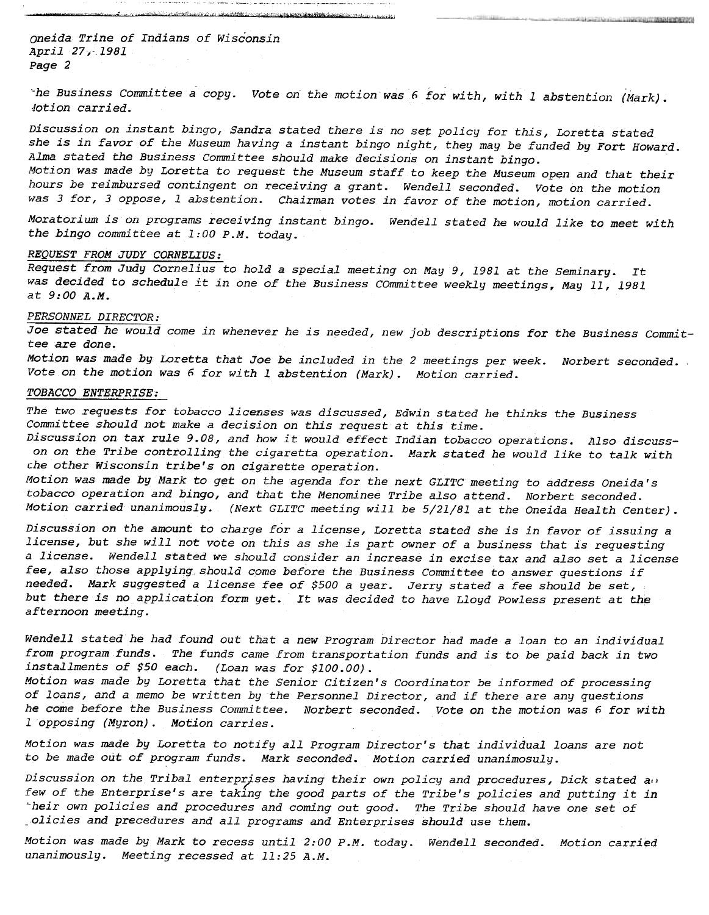oneida Trine of Indians of Wisconsin April 27;- 1981 Page 2

Business Committee a copy. Vote on the motion was 6 for with, with 1 abstention (Mark dotion carried.

ALCOHOL: CARL MARKET CARD & HARD REAL COMMUNICATIONS ON A

.c--c---,

เจนต์กันเป็นโดยเฉพิพันธ์ โดย หนึ่งโดยใช้เป็นซึ่งในเป็นพอ และ Logisto

Discussion on instant bingo, Sandra stated there is no set policy for this, Loretta stated she is in favor of the Museum having a instant bingo night, they may be funded by Fort Howard. Alma stated the Business Committee should make decisions on instant bingo.

Motion was made by Loretta to request the Museum staff to keep the Museum open and that their hours be reimbursed contingent on receiving a grant. Wendell seconded. Vote on the motion was 3 for, 3 oppose, 1 abstention. Chairman votes in favor of the motion, motion carried.

Moratorium is on programs receiving instant bingo. Wendell stated he would like to meet with the bingo committee at 1:00 P.M. today.

#### REQUEST FROM JUDY CORNELIUS:

Request from Judy Cornelius to hold a special meeting on May 9,1981 at the Seminary. It was decided to schedule it in one of the Business COmmittee weekly meetings, May 11,1981 at 9:00 A.M.

### PERSONNEL DIRECTOR:

Joe stated he would come in whenever he is needed, new job descriptions for the Business Committee are done.

Motion was made by Loretta that Joe be included in the 2 meetings per week. Norbert seconded. . Vote on the motion was 6 for with 1 abstention (Mark). Motion carried.

#### TOBACCO ENTERPRISE:

The two requests for tobacco licenses was discussed, Edwin stated he thinks the Business Committee should not make a decision on this request at this time.

Discussion on tax rule 9.08, and how it would effect Indian tobacco operations. Also discusson on the Tribe controlling the cigaretta operation. Mark stated he would like to talk with che other Wisconsin tribe's on cigarette operation.

Motion was made by Mark to get on the agenda for the next GLITC meeting to address Oneida's tobacco operation and bingo, and that the Menominee Tribe also attend. Norbert seconded. Motion carried unanimously. (Next GLITC meeting will be 5/21/81 at the Oneida Health Center).

Discussion on the amount to charge for a license, Loretta stated she is in favor of issuing a license, but she will not vote on this as she is part owner of a business that is requesting a license. Wendell stated we should consider an increase in excise tax and also set a license fee, also those applying should come before the Business Committee to answer questions if Mark suggested a license fee of \$500 a year. Jerry stated a fee should be set, but there is no application form yet. It was decided to have Lloyd Powless present at the afternoon meeting.

Wendell stated he had found out that a new Program Director had made a loan to an individual from program funds.. The funds came from transportation funds and is to be paid back in two installments of \$50 each. (Loan was for \$100.00).

Motion was made by Loretta that the Senior Citizen's Coordinator be informed of processing of loans, and a memo be written by the Personnel Director, and if there are any questions he come before the Business Committee. Norbert seconded. Vote on the motion was 6 for with I opposing (Myron). Motion carries.

Motion was made by Loretta to notify all Program Director's that individual loans are not to be made out of program funds. Mark seconded. Motion carried unanimosuly.

Discussion on the Tribal enterprises having their own policy and procedures, Dick stated a $\alpha$ few of the Enterprise's are taking the good parts of the Tribe's policies and putting it in ~heir own policies and procedures and coming out good. The Tribe should have one set of \_olicies and precedures and all programs and Enterprises should use them.

Motion was made by Mark to recess until 2:00 P.M. today. WendeLl seconded. Motion carried unanimously. Meeting recessed at 11:25 A.M.